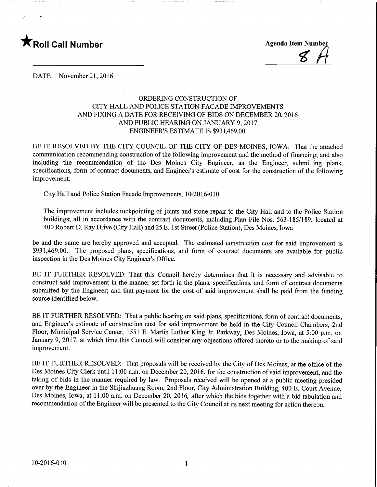

 $\overline{\mathcal{E}}$ 

DATE November 21, 2016

## ORDERING CONSTRUCTION OF CITY HALL AND POLICE STATION FACADE IMPROVEMENTS AND FIXING A DATE FOR RECEIVING OF BIDS ON DECEMBER 20, 2016 AND PUBLIC HEARING ON JANUARY 9,2017 ENGINEER'S ESTIMATE IS \$931,469.00

BE IT RESOLVED BY THE CITY COUNCIL OF THE CITY OF DES MOINES, IOWA: That the attached communication recommending construction of the following improvement and the method of financing; and also including the recommendation of the Des Moines City Engineer, as the Engineer, submitting plans, specifications, form of contract documents, and Engineer's estimate of cost for the construction of the following improvement:

City Hall and Police Station Facade Improvements, 10-2016-010

The improvement includes tuckpointing of joints and stone repair to the City Hall and to the Police Station buildings; all in accordance with the contract documents, including Plan File Nos. 563-185/189; located at 400 Robert D. Ray Drive (City Hall) and 25 E. 1st Street (Police Station), Des Moines, Iowa

be and the same are hereby approved and accepted. The estimated construction cost for said improvement is \$931,469.00. The proposed plans, specifications, and form of contract documents are available for public inspection in the Des Moines City Engineer's Office.

BE IT FURTHER RESOLVED: That this Council hereby determines that it is necessary and advisable to construct said improvement in the manner set forth in the plans, specifications, and form of contract documents submitted by the Engineer; and that payment for the cost of said improvement shall be paid from the funding source identified below.

BE IT FURTHER RESOLVED: That a public hearing on said plans, specifications, form of contract documents, and Engineer's estimate of construction cost for said improvement be held in the City Council Chambers, 2nd Floor, Municipal Service Center, 1551 E. Martin Luther King Jr. Parkway, Des Moines, Iowa, at 5:00 p.m. on January 9, 2017, at which time this Council will consider any objections offered thereto or to the making of said improvement.

BE IT FURTHER RESOLVED: That proposals will be received by the City of Des Moines, at the office of the Des Moines City Clerk until 11:00 a.m. on December 20, 2016, for the construction of said improvement, and the taking of bids in the manner required by law. Proposals received will be opened at a public meeting presided over by the Engineer in the Shijiazhuang Room, 2nd Floor, City Administration Building, 400 E. Court Avenue, Des Moines, Iowa, at 11:00 a.m. on December 20, 2016, after which the bids together with a bid tabulation and recommendation of the Engineer will be presented to the City Council at its next meeting for action thereon.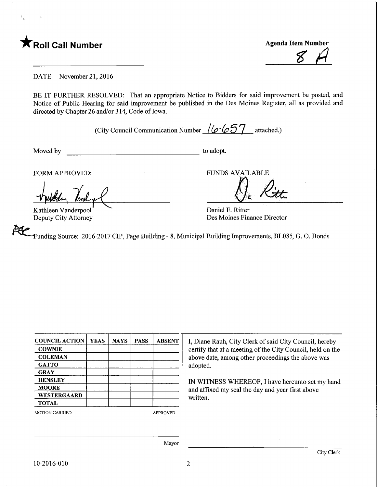

 $\bar{F}^{\dagger}_{\alpha}$ 

<u>8 A</u>

DATE November 21,2016

BE IT FURTHER RESOLVED: That an appropriate Notice to Bidders for said improvement be posted, and Notice of Public Hearing for said improvement be published in the Des Moines Register, all as provided and directed by Chapter 26 and/or 314, Code of Iowa.

(City Council Communication Number  $/(\sigma$  657 attached.)

Moved by to adopt.

Kathleen Vanderpool Deputy City Attorney

FORM APPROVED: FUNDS AVAILABLE

Daniel E. Ritter Des Moines Finance Director

unding Source: 2016-2017 CIP, Page Building - 8, Municipal Building Improvements, BL085, G. 0. Bonds

| <b>COUNCIL ACTION</b> | <b>YEAS</b> | <b>NAYS</b> | <b>PASS</b>     | <b>ABSENT</b> |
|-----------------------|-------------|-------------|-----------------|---------------|
| <b>COWNIE</b>         |             |             |                 |               |
| <b>COLEMAN</b>        |             |             |                 |               |
| <b>GATTO</b>          |             |             |                 |               |
| <b>GRAY</b>           |             |             |                 |               |
| <b>HENSLEY</b>        |             |             |                 |               |
| <b>MOORE</b>          |             |             |                 |               |
| <b>WESTERGAARD</b>    |             |             |                 |               |
| <b>TOTAL</b>          |             |             |                 |               |
| <b>MOTION CARRIED</b> |             |             | <b>APPROVED</b> |               |
|                       |             |             |                 |               |
|                       |             |             |                 |               |
|                       |             |             |                 | $M$ ovor      |

I, Diane Rauh, City Clerk of said City Council, hereby certify that at a meeting of the City Council, held on the above date, among other proceedings the above was adopted.

IN WITNESS WHEREOF, I have hereunto set my hand and affixed my seal the day and year first above written.

Mayor